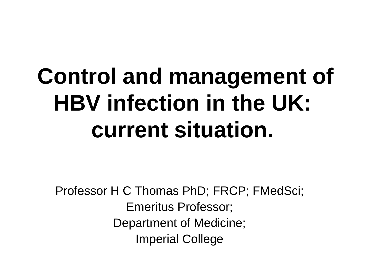# **Control and management of HBV infection in the UK: current situation.**

Professor H C Thomas PhD; FRCP; FMedSci; Emeritus Professor; Department of Medicine; Imperial College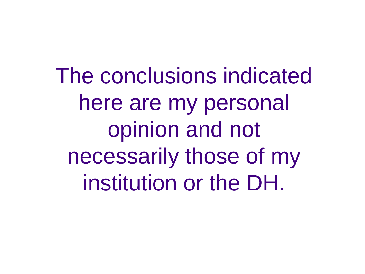The conclusions indicated here are my personal opinion and not necessarily those of my institution or the DH.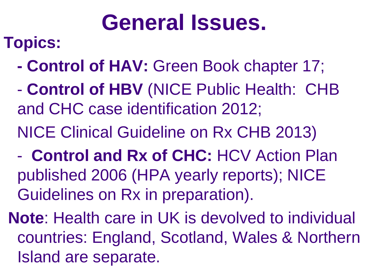## **General Issues.**

### **Topics:**

- **- Control of HAV:** Green Book chapter 17;
- **Control of HBV** (NICE Public Health: CHB and CHC case identification 2012;
- NICE Clinical Guideline on Rx CHB 2013)
- **Control and Rx of CHC:** HCV Action Plan published 2006 (HPA yearly reports); NICE Guidelines on Rx in preparation).
- **Note**: Health care in UK is devolved to individual countries: England, Scotland, Wales & Northern Island are separate.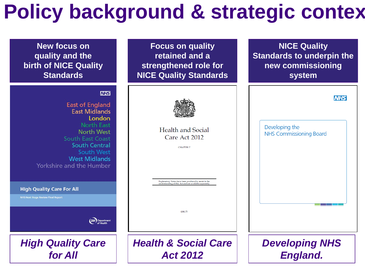## **Policy background & strategic contex**

| <b>New focus on</b><br>quality and the<br><b>birth of NICE Quality</b><br><b>Standards</b>                                                                          | <b>Focus on quality</b><br>retained and a<br>strengthened role for<br><b>NICE Quality Standards</b>                                 | <b>NICE Quality</b><br><b>Standards to underpin the</b><br>new commissioning<br>system |
|---------------------------------------------------------------------------------------------------------------------------------------------------------------------|-------------------------------------------------------------------------------------------------------------------------------------|----------------------------------------------------------------------------------------|
| <b>NHS</b><br><b>East of England</b><br><b>East Midlands</b><br>London<br><b>North East</b><br><b>North West</b><br><b>South East Coast</b><br><b>South Central</b> | <b>Health and Social</b><br>Care Act 2012                                                                                           | <b>NHS</b><br>Developing the<br><b>NHS Commissioning Board</b>                         |
| <b>South West</b><br><b>West Midlands</b><br>Yorkshire and the Humber<br><b>High Quality Care For All</b><br><b>NHS Next Stage Review Final Report</b>              | <b>CHAPTER 7</b><br>Explanatory Notes have been produced to assist in the<br>understanding of this Act and are available separately |                                                                                        |
| <b>DH</b> Department                                                                                                                                                | £44.75                                                                                                                              |                                                                                        |
| <b>High Quality Care</b><br>for All                                                                                                                                 | <b>Health &amp; Social Care</b><br><b>Act 2012</b>                                                                                  | <b>Developing NHS</b><br><b>England.</b>                                               |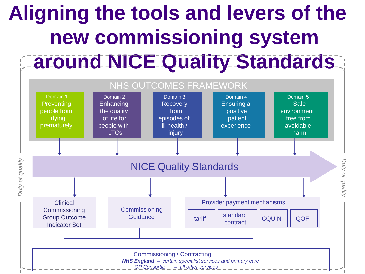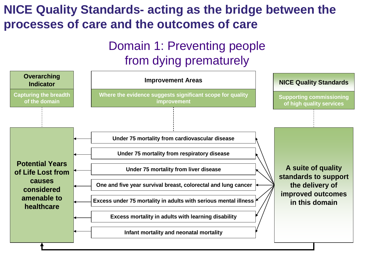#### **NICE Quality Standards- acting as the bridge between the processes of care and the outcomes of care**

#### Domain 1: Preventing people from dying prematurely

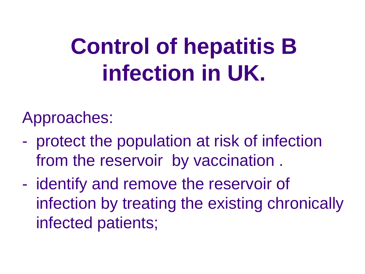# **Control of hepatitis B infection in UK.**

Approaches:

- protect the population at risk of infection from the reservoir by vaccination .
- identify and remove the reservoir of infection by treating the existing chronically infected patients;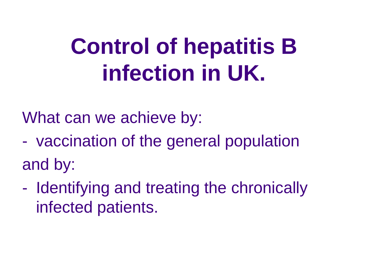# **Control of hepatitis B infection in UK.**

What can we achieve by:

- vaccination of the general population and by:
- Identifying and treating the chronically infected patients.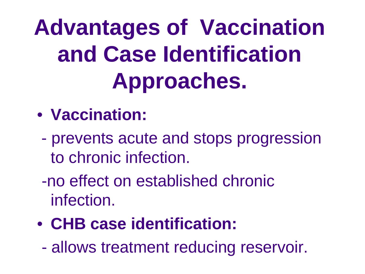**Advantages of Vaccination and Case Identification Approaches.**

### • **Vaccination:**

- prevents acute and stops progression to chronic infection.
- -no effect on established chronic infection.
- **CHB case identification:**
	- allows treatment reducing reservoir.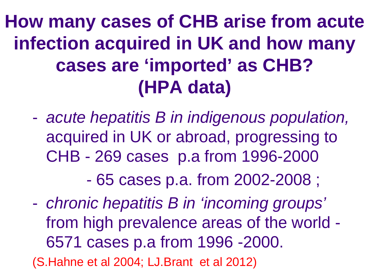**How many cases of CHB arise from acute infection acquired in UK and how many cases are 'imported' as CHB? (HPA data)**

- *acute hepatitis B in indigenous population,* acquired in UK or abroad, progressing to CHB - 269 cases p.a from 1996-2000

- 65 cases p.a. from 2002-2008 ;

- *chronic hepatitis B in 'incoming groups'* from high prevalence areas of the world - 6571 cases p.a from 1996 -2000. (S.Hahne et al 2004; LJ.Brant et al 2012)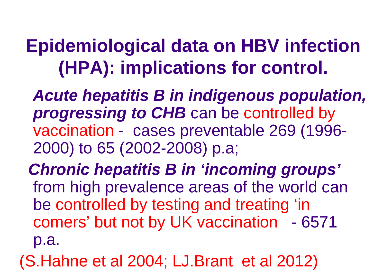## **Epidemiological data on HBV infection (HPA): implications for control.**

 *Acute hepatitis B in indigenous population, progressing to CHB* can be controlled by vaccination - cases preventable 269 (1996- 2000) to 65 (2002-2008) p.a;

 *Chronic hepatitis B in 'incoming groups'* from high prevalence areas of the world can be controlled by testing and treating 'in comers' but not by UK vaccination - 6571 p.a.

(S.Hahne et al 2004; LJ.Brant et al 2012)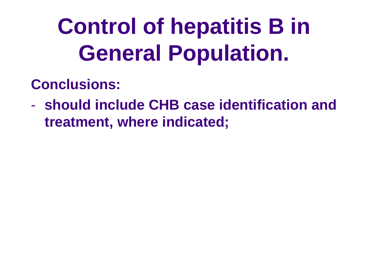# **Control of hepatitis B in General Population.**

#### **Conclusions:**

- **should include CHB case identification and treatment, where indicated;**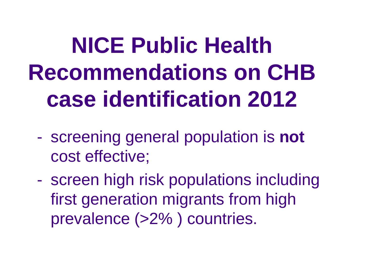**NICE Public Health Recommendations on CHB case identification 2012**

- screening general population is **not** cost effective;
- screen high risk populations including first generation migrants from high prevalence (>2% ) countries.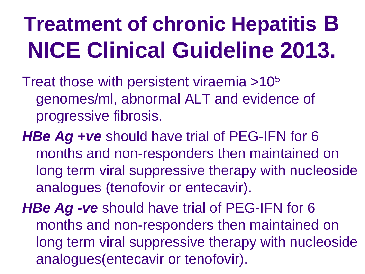# **Treatment of chronic Hepatitis B NICE Clinical Guideline 2013.**

Treat those with persistent viraemia >105 genomes/ml, abnormal ALT and evidence of progressive fibrosis.

*HBe Ag +ve* should have trial of PEG-IFN for 6 months and non-responders then maintained on long term viral suppressive therapy with nucleoside analogues (tenofovir or entecavir).

*HBe Ag -ve* should have trial of PEG-IFN for 6 months and non-responders then maintained on long term viral suppressive therapy with nucleoside analogues(entecavir or tenofovir).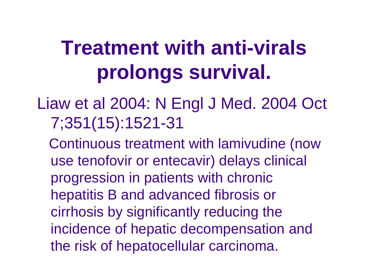## **Treatment with anti-virals prolongs survival.**

- Liaw et al 2004: N Engl J Med. 2004 Oct 7;351(15):1521-31
	- Continuous treatment with lamivudine (now use tenofovir or entecavir) delays clinical progression in patients with chronic hepatitis B and advanced fibrosis or cirrhosis by significantly reducing the incidence of hepatic decompensation and the risk of hepatocellular carcinoma.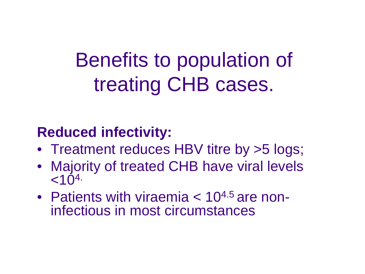## Benefits to population of treating CHB cases.

#### **Reduced infectivity:**

- Treatment reduces HBV titre by >5 logs;
- Majority of treated CHB have viral levels  $< 10^{4.}$
- Patients with viraemia  $< 10^{4.5}$  are non-<br>infectious in most circumstances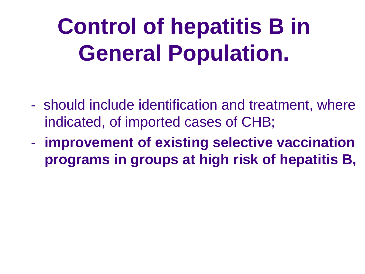# **Control of hepatitis B in General Population.**

- should include identification and treatment, where indicated, of imported cases of CHB;
- **improvement of existing selective vaccination programs in groups at high risk of hepatitis B,**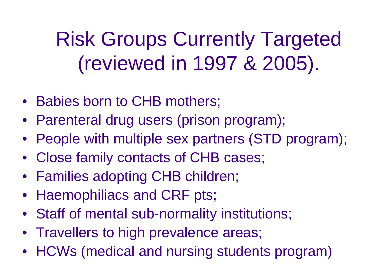Risk Groups Currently Targeted (reviewed in 1997 & 2005).

- Babies born to CHB mothers;
- Parenteral drug users (prison program);
- People with multiple sex partners (STD program);
- Close family contacts of CHB cases;
- Families adopting CHB children;
- Haemophiliacs and CRF pts;
- Staff of mental sub-normality institutions;
- Travellers to high prevalence areas;
- HCWs (medical and nursing students program)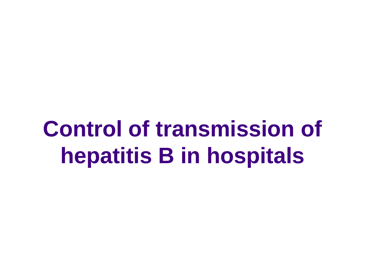## **Control of transmission of hepatitis B in hospitals**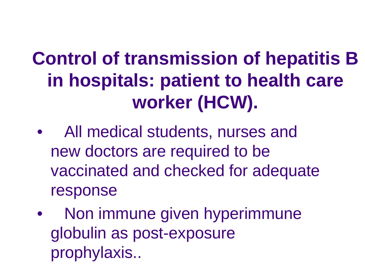## **Control of transmission of hepatitis B in hospitals: patient to health care worker (HCW).**

- All medical students, nurses and new doctors are required to be vaccinated and checked for adequate response
- Non immune given hyperimmune globulin as post-exposure prophylaxis..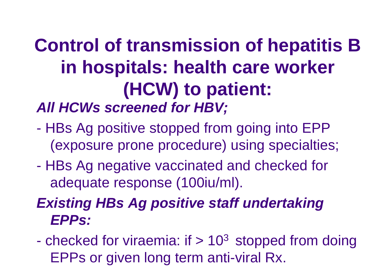### **Control of transmission of hepatitis B in hospitals: health care worker (HCW) to patient:** *All HCWs screened for HBV;*

- HBs Ag positive stopped from going into EPP (exposure prone procedure) using specialties;
- HBs Ag negative vaccinated and checked for adequate response (100iu/ml).

### *Existing HBs Ag positive staff undertaking EPPs:*

- checked for viraemia: if  $> 10<sup>3</sup>$  stopped from doing EPPs or given long term anti-viral Rx.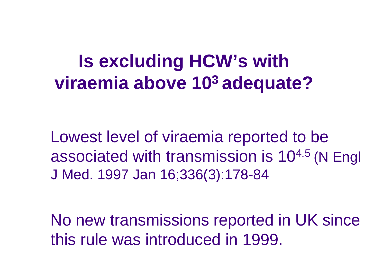### **Is excluding HCW's with viraemia above 103 adequate?**

 Lowest level of viraemia reported to be associated with transmission is 104.5 (N Engl J Med. 1997 Jan 16;336(3):178-84

 No new transmissions reported in UK since this rule was introduced in 1999.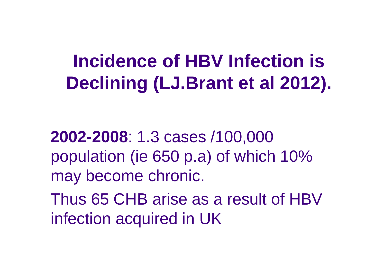## **Incidence of HBV Infection is Declining (LJ.Brant et al 2012).**

 **2002-2008**: 1.3 cases /100,000 population (ie 650 p.a) of which 10% may become chronic.

 Thus 65 CHB arise as a result of HBV infection acquired in UK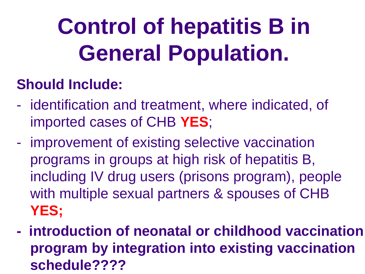# **Control of hepatitis B in General Population.**

### **Should Include:**

- identification and treatment, where indicated, of imported cases of CHB **YES**;
- improvement of existing selective vaccination programs in groups at high risk of hepatitis B, including IV drug users (prisons program), people with multiple sexual partners & spouses of CHB **YES;**
- **introduction of neonatal or childhood vaccination program by integration into existing vaccination schedule????**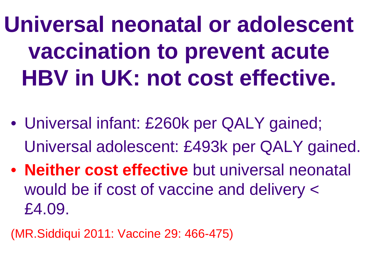**Universal neonatal or adolescent vaccination to prevent acute HBV in UK: not cost effective.**

- Universal infant: £260k per QALY gained; Universal adolescent: £493k per QALY gained.
- **Neither cost effective** but universal neonatal would be if cost of vaccine and delivery < £4.09.

(MR.Siddiqui 2011: Vaccine 29: 466-475)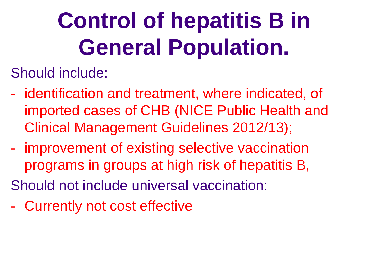# **Control of hepatitis B in General Population.**

Should include:

- identification and treatment, where indicated, of imported cases of CHB (NICE Public Health and Clinical Management Guidelines 2012/13);
- improvement of existing selective vaccination programs in groups at high risk of hepatitis B, Should not include universal vaccination:
- Currently not cost effective